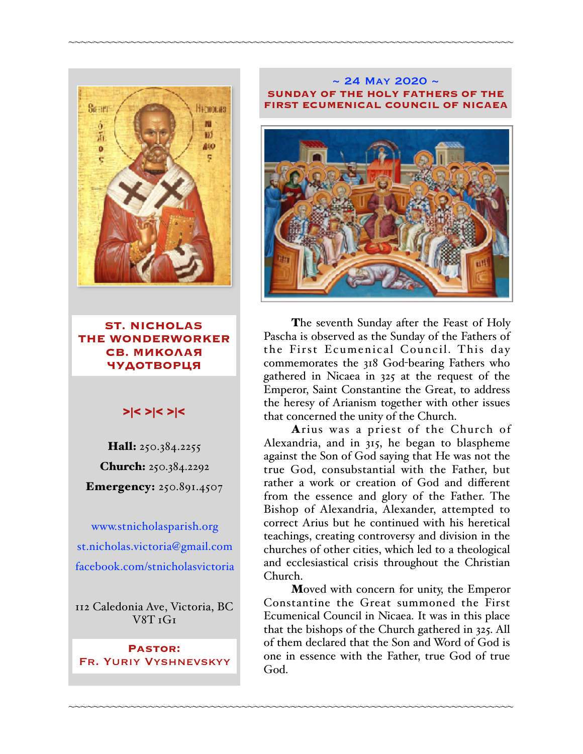

**ST. NICHOLAS THE WONDERWORKER СВ. МИКОЛАЯ ЧУДОТВОРЦЯ**

### >|< >|< >|<

Hall: 250.384.2255 Church: 250.384.2292 Emergency: 250.891.4507

[www.stnicholasparish.org](http://www.stnicholasparish.org) [st.nicholas.victoria@gmail.com](mailto:st.nicholas.victoria@gmail.com) [facebook.com/stnicholasvictoria](http://facebook.com/stnicholasvictoria)

112 Caledonia Ave, Victoria, BC  $V8T T$ 

**Pastor:**  Fr. Yuriy Vyshnevskyy

#### $\sim$  24 May 2020  $\sim$ **SUNDAY OF THE HOLY FATHERS OF THE FIRST ECUMENICAL COUNCIL OF NICAEA**

~~~~~~~~~~~~~~~~~~~~~~~~~~~~~~~~~~~~~~~~~~~~~~~~~~~~~~~~~~~~~~~~~~~~~~~~



The seventh Sunday after the Feast of Holy Pascha is observed as the Sunday of the Fathers of the First Ecumenical Council. This day commemorates the 318 God-bearing Fathers who gathered in Nicaea in 325 at the request of the Emperor, Saint Constantine the Great, to address the heresy of Arianism together with other issues that concerned the unity of the Church.

Arius was a priest of the Church of Alexandria, and in 315, he began to blaspheme against the Son of God saying that He was not the true God, consubstantial with the Father, but rather a work or creation of God and different from the essence and glory of the Father. The Bishop of Alexandria, Alexander, attempted to correct Arius but he continued with his heretical teachings, creating controversy and division in the churches of other cities, which led to a theological and ecclesiastical crisis throughout the Christian Church.

Moved with concern for unity, the Emperor Constantine the Great summoned the First Ecumenical Council in Nicaea. It was in this place that the bishops of the Church gathered in 325. All of them declared that the Son and Word of God is one in essence with the Father, true God of true God.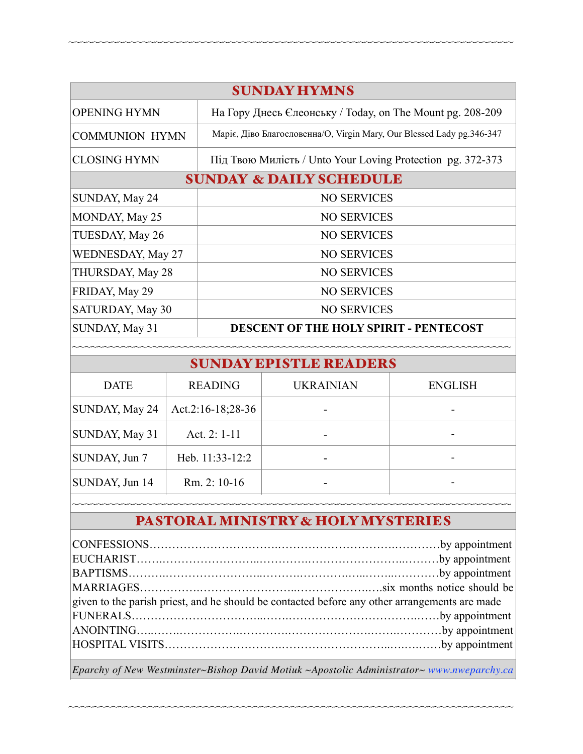| <b>SUNDAY HYMNS</b>                |                                                                       |  |  |  |
|------------------------------------|-----------------------------------------------------------------------|--|--|--|
| <b>OPENING HYMN</b>                | На Гору Днесь Єлеонську / Today, on The Mount pg. 208-209             |  |  |  |
| <b>COMMUNION HYMN</b>              | Маріє, Діво Благословенна/О, Virgin Mary, Our Blessed Lady pg.346-347 |  |  |  |
| <b>CLOSING HYMN</b>                | Під Твою Милість / Unto Your Loving Protection pg. 372-373            |  |  |  |
| <b>SUNDAY &amp; DAILY SCHEDULE</b> |                                                                       |  |  |  |
| SUNDAY, May 24                     | <b>NO SERVICES</b>                                                    |  |  |  |
| MONDAY, May 25                     | <b>NO SERVICES</b>                                                    |  |  |  |
| TUESDAY, May 26                    | <b>NO SERVICES</b>                                                    |  |  |  |
| WEDNESDAY, May 27                  | <b>NO SERVICES</b>                                                    |  |  |  |
| THURSDAY, May 28                   | <b>NO SERVICES</b>                                                    |  |  |  |
| FRIDAY, May 29                     | <b>NO SERVICES</b>                                                    |  |  |  |
| SATURDAY, May 30                   | <b>NO SERVICES</b>                                                    |  |  |  |
| SUNDAY, May 31                     | <b>DESCENT OF THE HOLY SPIRIT - PENTECOST</b>                         |  |  |  |

~~~~~~~~~~~~~~~~~~~~~~~~~~~~~~~~~~~~~~~~~~~~~~~~~~~~~~~~~~~~~~~~~~~~~~~~

~~~~~~~~~~~~~

| <b>DATE</b>           | <b>READING</b>    | <b>UKRAINIAN</b> | <b>ENGLISH</b> |
|-----------------------|-------------------|------------------|----------------|
| SUNDAY, May 24        | Act.2:16-18;28-36 |                  |                |
| SUNDAY, May 31        | Act. 2: $1-11$    |                  |                |
| $\vert$ SUNDAY, Jun 7 | Heb. 11:33-12:2   |                  |                |
| SUNDAY, Jun 14        | Rm. 2: 10-16      |                  |                |

# ~~~~~~~~~~~~~~~~~~~~~~~~~~~~~~~~~~~~~~~~~~~~~~~~~~~~~~~~~~~~~~~~~~~~~~~ <sup>~</sup> PASTORAL MINISTRY & HOLY MYSTERIES

| given to the parish priest, and he should be contacted before any other arrangements are made |  |  |
|-----------------------------------------------------------------------------------------------|--|--|
|                                                                                               |  |  |
|                                                                                               |  |  |
|                                                                                               |  |  |
|                                                                                               |  |  |

*Eparchy of New Westminster~Bishop David Motiuk ~Apostolic Administrator~ [www.nweparchy.ca](http://www.nweparchy.ca)*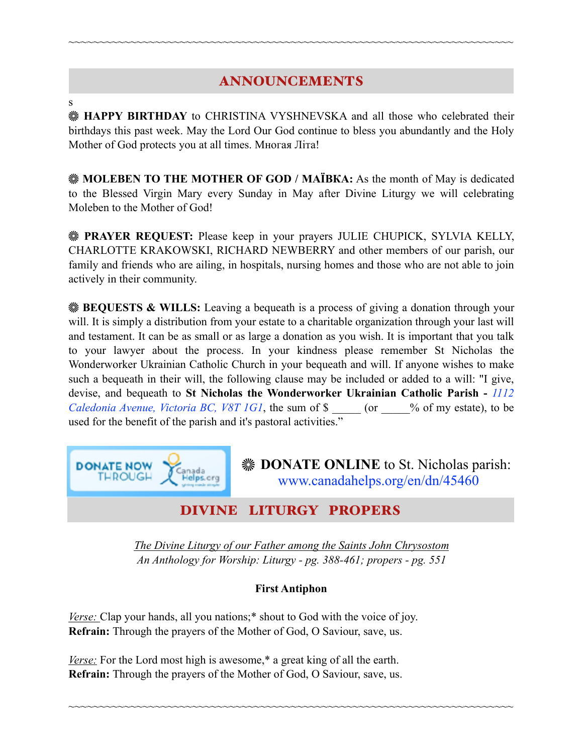# ANNOUNCEMENTS

~~~~~~~~~~~~~~~~~~~~~~~~~~~~~~~~~~~~~~~~~~~~~~~~~~~~~~~~~~~~~~~~~~~~~~~~

**HAPPY BIRTHDAY** to CHRISTINA VYSHNEVSKA and all those who celebrated their birthdays this past week. May the Lord Our God continue to bless you abundantly and the Holy Mother of God protects you at all times. Многая Літа!

**WE MOLEBEN TO THE MOTHER OF GOD / MAÏBKA:** As the month of May is dedicated to the Blessed Virgin Mary every Sunday in May after Divine Liturgy we will celebrating Moleben to the Mother of God!

**EXAMPRAYER REQUEST:** Please keep in your prayers JULIE CHUPICK, SYLVIA KELLY, CHARLOTTE KRAKOWSKI, RICHARD NEWBERRY and other members of our parish, our family and friends who are ailing, in hospitals, nursing homes and those who are not able to join actively in their community.

**BEQUESTS & WILLS:** Leaving a bequeath is a process of giving a donation through your will. It is simply a distribution from your estate to a charitable organization through your last will and testament. It can be as small or as large a donation as you wish. It is important that you talk to your lawyer about the process. In your kindness please remember St Nicholas the Wonderworker Ukrainian Catholic Church in your bequeath and will. If anyone wishes to make such a bequeath in their will, the following clause may be included or added to a will: "I give, devise, and bequeath to **St Nicholas the Wonderworker Ukrainian Catholic Parish -** *1112 Caledonia Avenue, Victoria BC, V8T 1G1*, the sum of \$ \_\_\_\_\_ (or \_\_\_\_% of my estate), to be used for the benefit of the parish and it's pastoral activities."



*The Divine Liturgy of our Father among the Saints John Chrysostom An Anthology for Worship: Liturgy - pg. 388-461; propers - pg. 551*

### **First Antiphon**

~~~~~~~~~~~~~~~~~~~~~~~~~~~~~~~~~~~~~~~~~~~~~~~~~~~~~~~~~~~~~~~~~~~~~~~~

*Verse:* Clap your hands, all you nations;<sup>\*</sup> shout to God with the voice of joy. **Refrain:** Through the prayers of the Mother of God, O Saviour, save, us.

*Verse:* For the Lord most high is awesome,\* a great king of all the earth. **Refrain:** Through the prayers of the Mother of God, O Saviour, save, us.

s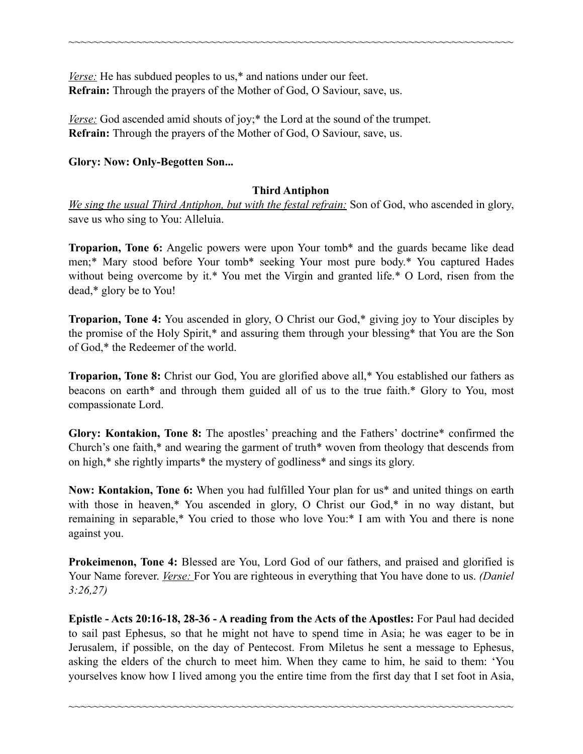*Verse:* He has subdued peoples to us,\* and nations under our feet. **Refrain:** Through the prayers of the Mother of God, O Saviour, save, us.

*Verse:* God ascended amid shouts of joy;<sup>\*</sup> the Lord at the sound of the trumpet. **Refrain:** Through the prayers of the Mother of God, O Saviour, save, us.

### **Glory: Now: Only-Begotten Son...**

### **Third Antiphon**

~~~~~~~~~~~~~~~~~~~~~~~~~~~~~~~~~~~~~~~~~~~~~~~~~~~~~~~~~~~~~~~~~~~~~~~~

*We sing the usual Third Antiphon, but with the festal refrain:* Son of God, who ascended in glory, save us who sing to You: Alleluia.

**Troparion, Tone 6:** Angelic powers were upon Your tomb\* and the guards became like dead men;\* Mary stood before Your tomb\* seeking Your most pure body.\* You captured Hades without being overcome by it.\* You met the Virgin and granted life.\* O Lord, risen from the dead,\* glory be to You!

**Troparion, Tone 4:** You ascended in glory, O Christ our God,\* giving joy to Your disciples by the promise of the Holy Spirit,\* and assuring them through your blessing\* that You are the Son of God,\* the Redeemer of the world.

**Troparion, Tone 8:** Christ our God, You are glorified above all,\* You established our fathers as beacons on earth\* and through them guided all of us to the true faith.\* Glory to You, most compassionate Lord.

**Glory: Kontakion, Tone 8:** The apostles' preaching and the Fathers' doctrine\* confirmed the Church's one faith,\* and wearing the garment of truth\* woven from theology that descends from on high,\* she rightly imparts\* the mystery of godliness\* and sings its glory.

**Now: Kontakion, Tone 6:** When you had fulfilled Your plan for us\* and united things on earth with those in heaven,\* You ascended in glory, O Christ our God,\* in no way distant, but remaining in separable,\* You cried to those who love You:\* I am with You and there is none against you.

**Prokeimenon, Tone 4:** Blessed are You, Lord God of our fathers, and praised and glorified is Your Name forever. *Verse:* For You are righteous in everything that You have done to us. *(Daniel*) *3:26,27)*

**Epistle - Acts 20:16-18, 28-36 - A reading from the Acts of the Apostles:** For Paul had decided to sail past Ephesus, so that he might not have to spend time in Asia; he was eager to be in Jerusalem, if possible, on the day of Pentecost. From Miletus he sent a message to Ephesus, asking the elders of the church to meet him. When they came to him, he said to them: 'You yourselves know how I lived among you the entire time from the first day that I set foot in Asia,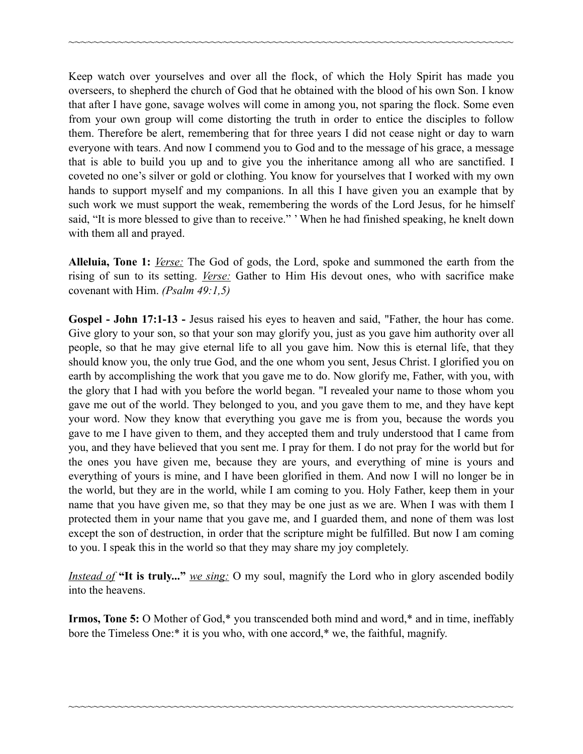Keep watch over yourselves and over all the flock, of which the Holy Spirit has made you overseers, to shepherd the church of God that he obtained with the blood of his own Son. I know that after I have gone, savage wolves will come in among you, not sparing the flock. Some even from your own group will come distorting the truth in order to entice the disciples to follow them. Therefore be alert, remembering that for three years I did not cease night or day to warn everyone with tears. And now I commend you to God and to the message of his grace, a message that is able to build you up and to give you the inheritance among all who are sanctified. I coveted no one's silver or gold or clothing. You know for yourselves that I worked with my own hands to support myself and my companions. In all this I have given you an example that by such work we must support the weak, remembering the words of the Lord Jesus, for he himself said, "It is more blessed to give than to receive." ' When he had finished speaking, he knelt down with them all and prayed.

~~~~~~~~~~~~~~~~~~~~~~~~~~~~~~~~~~~~~~~~~~~~~~~~~~~~~~~~~~~~~~~~~~~~~~~~

**Alleluia, Tone 1:** *Verse:* The God of gods, the Lord, spoke and summoned the earth from the rising of sun to its setting. *Verse:* Gather to Him His devout ones, who with sacrifice make covenant with Him. *(Psalm 49:1,5)*

**Gospel - John 17:1-13 -** Jesus raised his eyes to heaven and said, "Father, the hour has come. Give glory to your son, so that your son may glorify you, just as you gave him authority over all people, so that he may give eternal life to all you gave him. Now this is eternal life, that they should know you, the only true God, and the one whom you sent, Jesus Christ. I glorified you on earth by accomplishing the work that you gave me to do. Now glorify me, Father, with you, with the glory that I had with you before the world began. "I revealed your name to those whom you gave me out of the world. They belonged to you, and you gave them to me, and they have kept your word. Now they know that everything you gave me is from you, because the words you gave to me I have given to them, and they accepted them and truly understood that I came from you, and they have believed that you sent me. I pray for them. I do not pray for the world but for the ones you have given me, because they are yours, and everything of mine is yours and everything of yours is mine, and I have been glorified in them. And now I will no longer be in the world, but they are in the world, while I am coming to you. Holy Father, keep them in your name that you have given me, so that they may be one just as we are. When I was with them I protected them in your name that you gave me, and I guarded them, and none of them was lost except the son of destruction, in order that the scripture might be fulfilled. But now I am coming to you. I speak this in the world so that they may share my joy completely.

*Instead of* **"It is truly..."** *we sing:* O my soul, magnify the Lord who in glory ascended bodily into the heavens.

**Irmos, Tone 5:** O Mother of God,\* you transcended both mind and word,\* and in time, ineffably bore the Timeless One:\* it is you who, with one accord,\* we, the faithful, magnify.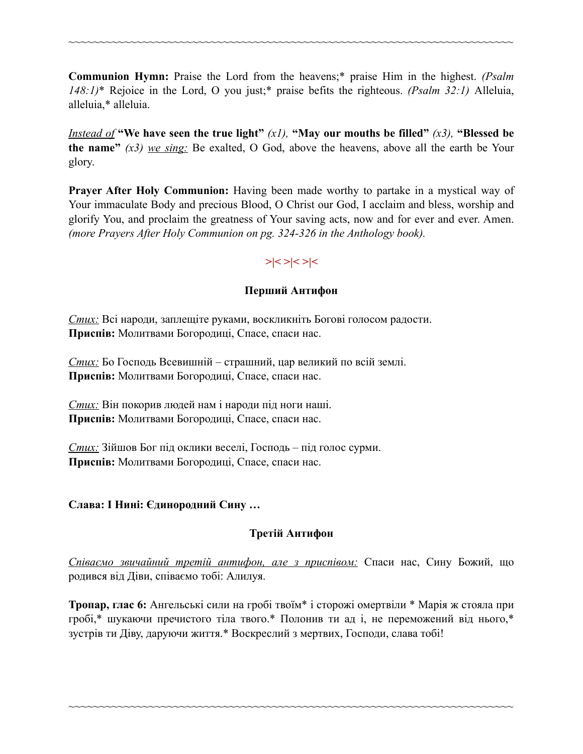**Communion Hymn:** Praise the Lord from the heavens;\* praise Him in the highest. *(Psalm 148:1)*\* Rejoice in the Lord, O you just;\* praise befits the righteous. *(Psalm 32:1)* Alleluia, alleluia,\* alleluia.

~~~~~~~~~~~~~~~~~~~~~~~~~~~~~~~~~~~~~~~~~~~~~~~~~~~~~~~~~~~~~~~~~~~~~~~~

*Instead of* **"We have seen the true light"**  $(x1)$ , **"May our mouths be filled"**  $(x3)$ , **"Blessed be the name"** *(x3) we sing:* Be exalted, O God, above the heavens, above all the earth be Your glory.

**Prayer After Holy Communion:** Having been made worthy to partake in a mystical way of Your immaculate Body and precious Blood, O Christ our God, I acclaim and bless, worship and glorify You, and proclaim the greatness of Your saving acts, now and for ever and ever. Amen. *(more Prayers After Holy Communion on pg. 324-326 in the Anthology book).* 

# **>|< >|< >|<**

### **Перший Антифон**

*Стих:* Всі народи, заплещіте руками, воскликніть Богові голосом радости. **Приспів:** Молитвами Богородиці, Спасе, спаси нас.

*Стих:* Бо Господь Всевишній – страшний, цар великий по всій землі. **Приспів:** Молитвами Богородиці, Спасе, спаси нас.

*Стих:* Він покорив людей нам і народи під ноги наші. **Приспів:** Молитвами Богородиці, Спасе, спаси нас.

*Стих:* Зійшов Бог під оклики веселі, Господь – під голос сурми. **Приспів:** Молитвами Богородиці, Спасе, спаси нас.

### **Слава: І Нині: Єдинородний Сину …**

### **Третій Антифон**

*Співаємо звичайний третій антифон, але з приспівoм:* Спаси нас, Сину Божий, що родився від Діви, співаємо тобі: Алилуя.

**Тропар, глас 6:** Ангельські сили на гробі твоїм\* і сторожі омертвіли \* Марія ж стояла при гробі,\* шукаючи пречистого тіла твого.\* Полонив ти ад і, не переможений від нього,\* зустрів ти Діву, даруючи життя.\* Воскреслий з мертвих, Господи, слава тобі!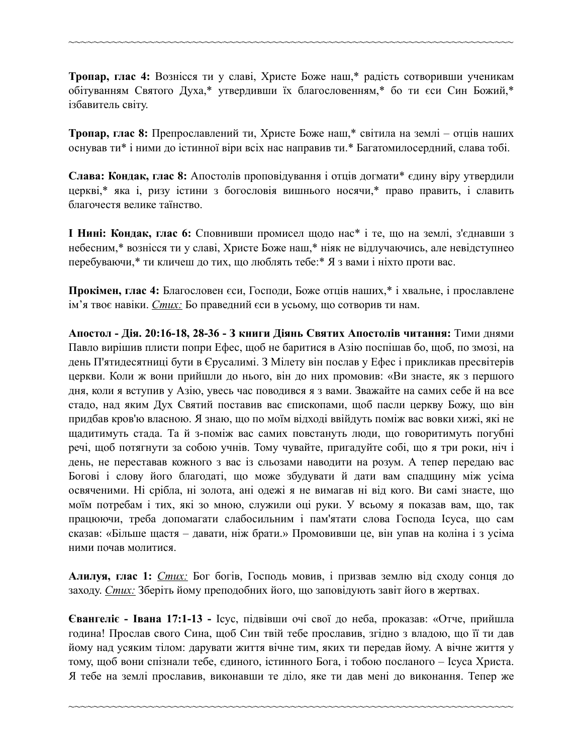**Тропар, глас 4:** Вознісся ти у славі, Христе Боже наш,\* радість сотворивши ученикам обітуванням Святого Духа,\* утвердивши їх благословенням,\* бо ти єси Син Божий,\* ізбавитель світу.

~~~~~~~~~~~~~~~~~~~~~~~~~~~~~~~~~~~~~~~~~~~~~~~~~~~~~~~~~~~~~~~~~~~~~~~~

**Тропар, глас 8:** Препрославлений ти, Христе Боже наш,\* світила на землі – отців наших оснував ти\* і ними до істинної віри всіх нас направив ти.\* Багатомилосердний, слава тобі.

**Слава: Кондак, глас 8:** Апостолів проповідування і отців догмати\* єдину віру утвердили церкві,\* яка і, ризу істини з богословія вишнього носячи,\* право править, і славить благочестя велике таїнство.

**І Нині: Кондак, глас 6:** Сповнивши промисел щодо нас\* і те, що на землі, з'єднавши з небесним,\* вознісся ти у славі, Христе Боже наш,\* ніяк не відлучаючись, але невідступнео перебуваючи,\* ти кличеш до тих, що люблять тебе:\* Я з вами і ніхто проти вас.

**Прокімен, глас 4:** Благословен єси, Господи, Боже отців наших,\* і хвальне, і прославлене ім'я твоє навіки. *Стих:* Бо праведний єси в усьому, що сотворив ти нам.

**Апостол - Дія. 20:16-18, 28-36 - З книги Діянь Святих Апостолів читання:** Тими днями Павло вирішив плисти попри Ефес, щоб не баритися в Азію поспішав бо, щоб, по змозі, на день П'ятидесятниці бути в Єрусалимі. З Мілету він послав у Ефес і прикликав пресвітерів церкви. Коли ж вони прийшли до нього, він до них промовив: «Ви знаєте, як з першого дня, коли я вступив у Азію, увесь час поводився я з вами. Зважайте на самих себе й на все стадо, над яким Дух Святий поставив вас єпископами, щоб пасли церкву Божу, що він придбав кров'ю власною. Я знаю, що по моїм відході ввійдуть поміж вас вовки хижі, які не щадитимуть стада. Та й з-поміж вас самих повстануть люди, що говоритимуть погубні речі, щоб потягнути за собою учнів. Тому чувайте, пригадуйте собі, що я три роки, ніч і день, не переставав кожного з вас із сльозами наводити на розум. А тепер передаю вас Богові і слову його благодаті, що може збудувати й дати вам спадщину між усіма освяченими. Ні срібла, ні золота, ані одежі я не вимагав ні від кого. Ви самі знаєте, що моїм потребам і тих, які зо мною, служили оці руки. У всьому я показав вам, що, так працюючи, треба допомагати слабосильним і пам'ятати слова Господа Ісуса, що сам сказав: «Більше щастя – давати, ніж брати.» Промовивши це, він упав на коліна і з усіма ними почав молитися.

**Алилуя, глас 1:** *Стих:* Бог богів, Господь мовив, і призвав землю від сходу сонця до заходу. *Стих:* Зберіть йому преподобних його, що заповідують завіт його в жертвах.

**Євангеліє - Івана 17:1-13 -** Ісус, підвівши очі свої до неба, проказав: «Отче, прийшла година! Прослав свого Сина, щоб Син твій тебе прославив, згідно з владою, що її ти дав йому над усяким тілом: дарувати життя вічне тим, яких ти передав йому. А вічне життя у тому, щоб вони спізнали тебе, єдиного, істинного Бога, і тобою посланого – Ісуса Христа. Я тебе на землі прославив, виконавши те діло, яке ти дав мені до виконання. Тепер же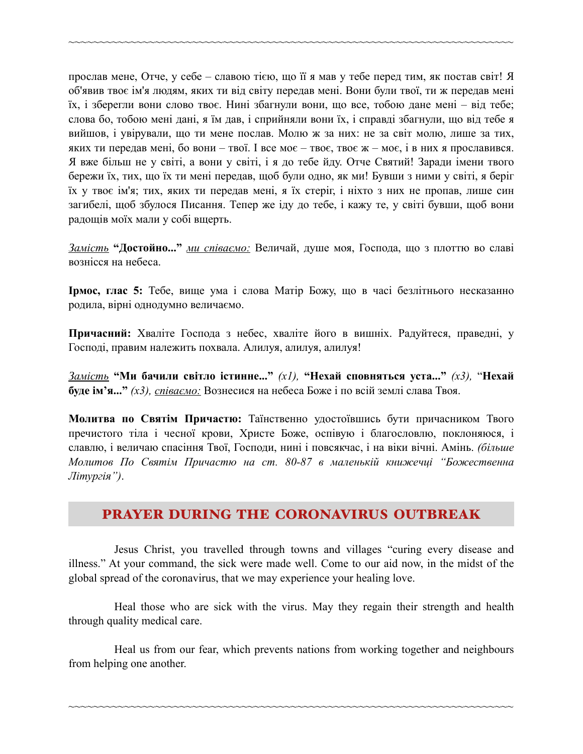прослав мене, Отче, у себе – славою тією, що її я мав у тебе перед тим, як постав світ! Я об'явив твоє ім'я людям, яких ти від світу передав мені. Вони були твої, ти ж передав мені їх, і зберегли вони слово твоє. Нині збагнули вони, що все, тобою дане мені – від тебе; слова бо, тобою мені дані, я їм дав, і сприйняли вони їх, і справді збагнули, що від тебе я вийшов, і увірували, що ти мене послав. Молю ж за них: не за світ молю, лише за тих, яких ти передав мені, бо вони – твої. І все моє – твоє, твоє ж – моє, і в них я прославився. Я вже більш не у світі, а вони у світі, і я до тебе йду. Отче Святий! Заради імени твого бережи їх, тих, що їх ти мені передав, щоб були одно, як ми! Бувши з ними у світі, я беріг їх у твоє ім'я; тих, яких ти передав мені, я їх стеріг, і ніхто з них не пропав, лише син загибелі, щоб збулося Писання. Тепер же іду до тебе, і кажу те, у світі бувши, щоб вони радощів моїх мали у собі вщерть.

~~~~~~~~~~~~~~~~~~~~~~~~~~~~~~~~~~~~~~~~~~~~~~~~~~~~~~~~~~~~~~~~~~~~~~~~

*Замість* **"Достойно..."** *ми співаємо:* Величай, душе моя, Господа, що з плоттю во славі вознісся на небеса.

**Ірмос, глас 5:** Тебе, вище ума і слова Матір Божу, що в часі безлітнього несказанно родила, вірні однодумно величаємо.

**Причасний:** Хваліте Господа з небес, хваліте його в вишніх. Радуйтеся, праведні, у Господі, правим належить похвала. Алилуя, aлилуя, aлилуя!

*Замість* **"Ми бачили світло істинне..."** *(x1),* **"Нехай сповняться уста..."** *(x3),* "**Нехай буде ім'я..."** *(x3), співаємо:* Вознесися на небеса Боже і по всій землі слава Твоя.

**Молитва по Святім Причастю:** Таїнственно удостоївшись бути причасником Твого пречистого тіла і чесної крови, Христе Боже, оспівую і благословлю, поклоняюся, і славлю, і величаю спасіння Твої, Господи, нині і повсякчас, і на віки вічні. Амінь. *(більше Молитов По Святім Причастю на ст. 80-87 в маленькій книжечці "Божественна Літургія")*.

### PRAYER DURING THE CORONAVIRUS OUTBREAK

Jesus Christ, you travelled through towns and villages "curing every disease and illness." At your command, the sick were made well. Come to our aid now, in the midst of the global spread of the coronavirus, that we may experience your healing love.

Heal those who are sick with the virus. May they regain their strength and health through quality medical care.

Heal us from our fear, which prevents nations from working together and neighbours from helping one another.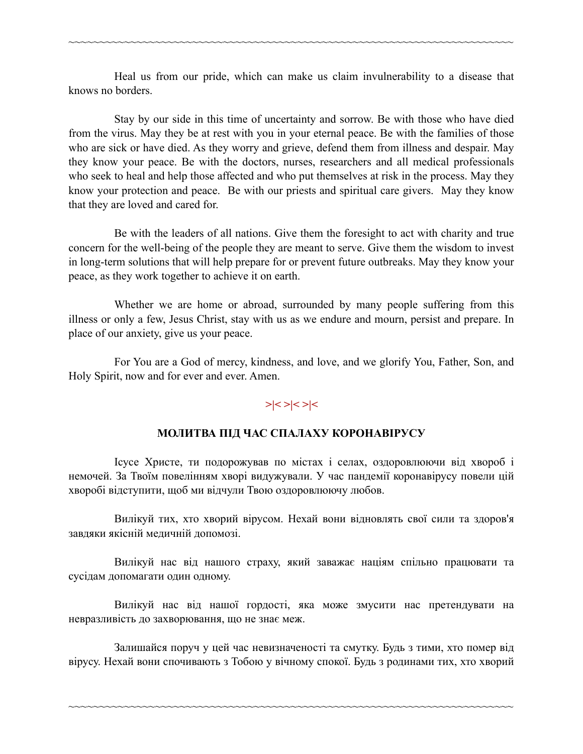Heal us from our pride, which can make us claim invulnerability to a disease that knows no borders.

~~~~~~~~~~~~~~~~~~~~~~~~~~~~~~~~~~~~~~~~~~~~~~~~~~~~~~~~~~~~~~~~~~~~~~~~

Stay by our side in this time of uncertainty and sorrow. Be with those who have died from the virus. May they be at rest with you in your eternal peace. Be with the families of those who are sick or have died. As they worry and grieve, defend them from illness and despair. May they know your peace. Be with the doctors, nurses, researchers and all medical professionals who seek to heal and help those affected and who put themselves at risk in the process. May they know your protection and peace. Be with our priests and spiritual care givers. May they know that they are loved and cared for.

Be with the leaders of all nations. Give them the foresight to act with charity and true concern for the well-being of the people they are meant to serve. Give them the wisdom to invest in long-term solutions that will help prepare for or prevent future outbreaks. May they know your peace, as they work together to achieve it on earth.

Whether we are home or abroad, surrounded by many people suffering from this illness or only a few, Jesus Christ, stay with us as we endure and mourn, persist and prepare. In place of our anxiety, give us your peace.

For You are a God of mercy, kindness, and love, and we glorify You, Father, Son, and Holy Spirit, now and for ever and ever. Amen.

# **>|< >|< >|<**

#### **МОЛИТВА ПІД ЧАС СПАЛАХУ КОРОНАВІРУСУ**

Ісусе Христе, ти подорожував по містах і селах, оздоровлюючи від хвороб і немочей. За Твоїм повелінням хворі видужували. У час пандемії коронавірусу повели цій хворобі відступити, щоб ми відчули Твою оздоровлюючу любов.

Вилікуй тих, хто хворий вірусом. Нехай вони відновлять свої сили та здоров'я завдяки якісній медичній допомозі.

Вилікуй нас від нашого страху, який заважає націям спільно працювати та сусідам допомагати один одному.

Вилікуй нас від нашої гордості, яка може змусити нас претендувати на невразливість до захворювання, що не знає меж.

Залишайся поруч у цей час невизначеності та смутку. Будь з тими, хто помер від вірусу. Нехай вони спочивають з Тобою у вічному спокої. Будь з родинами тих, хто хворий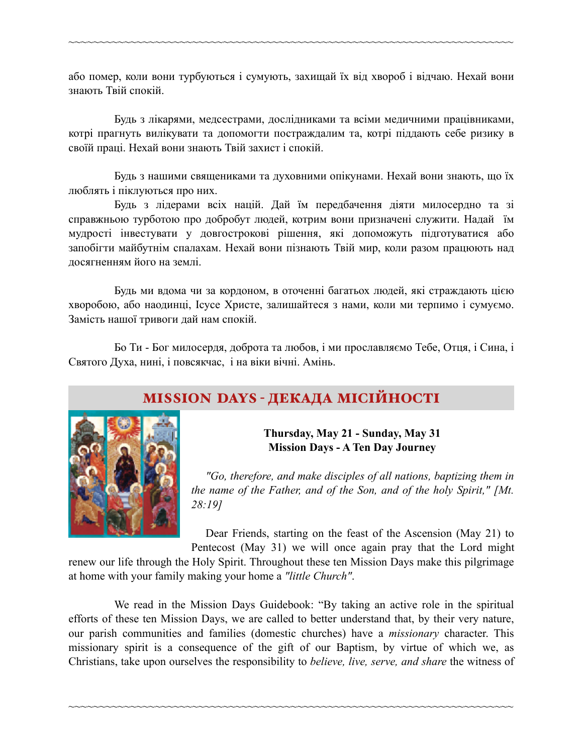або помер, коли вони турбуються і сумують, захищай їх від хвороб і відчаю. Нехай вони знають Твій спокій.

~~~~~~~~~~~~~~~~~~~~~~~~~~~~~~~~~~~~~~~~~~~~~~~~~~~~~~~~~~~~~~~~~~~~~~~~

Будь з лікарями, медсестрами, дослідниками та всіми медичними працівниками, котрі прагнуть вилікувати та допомогти постраждалим та, котрі піддають себе ризику в своїй праці. Нехай вони знають Твій захист і спокій.

Будь з нашими священиками та духовними опікунами. Нехай вони знають, що їх люблять і піклуються про них.

Будь з лідерами всіх націй. Дай їм передбачення діяти милосердно та зі справжньою турботою про добробут людей, котрим вони призначені служити. Надай їм мудрості інвестувати у довгострокові рішення, які допоможуть підготуватися або запобігти майбутнім спалахам. Нехай вони пізнають Твій мир, коли разом працюють над досягненням його на землі.

Будь ми вдома чи за кордоном, в оточенні багатьох людей, які страждають цією хворобою, або наодинці, Ісусе Христе, залишайтеся з нами, коли ми терпимо і сумуємо. Замість нашої тривоги дай нам спокій.

Бо Ти - Бог милосердя, доброта та любов, і ми прославляємо Тебе, Отця, і Сина, і Святого Духа, нині, і повсякчас, і на віки вічні. Амінь.

# MISSION DAYS - ДЕКАДА МІСІЙНОСТІ



**Thursday, May 21 - Sunday, May 31 Mission Days - A Ten Day Journey**

 *"Go, therefore, and make disciples of all nations, baptizing them in the name of the Father, and of the Son, and of the holy Spirit," [Mt. 28:19]*

Dear Friends, starting on the feast of the Ascension (May 21) to

Pentecost (May 31) we will once again pray that the Lord might renew our life through the Holy Spirit. Throughout these ten Mission Days make this pilgrimage at home with your family making your home a *"little Church"*.

We read in the Mission Days Guidebook: "By taking an active role in the spiritual efforts of these ten Mission Days, we are called to better understand that, by their very nature, our parish communities and families (domestic churches) have a *missionary* character. This missionary spirit is a consequence of the gift of our Baptism, by virtue of which we, as Christians, take upon ourselves the responsibility to *believe, live, serve, and share* the witness of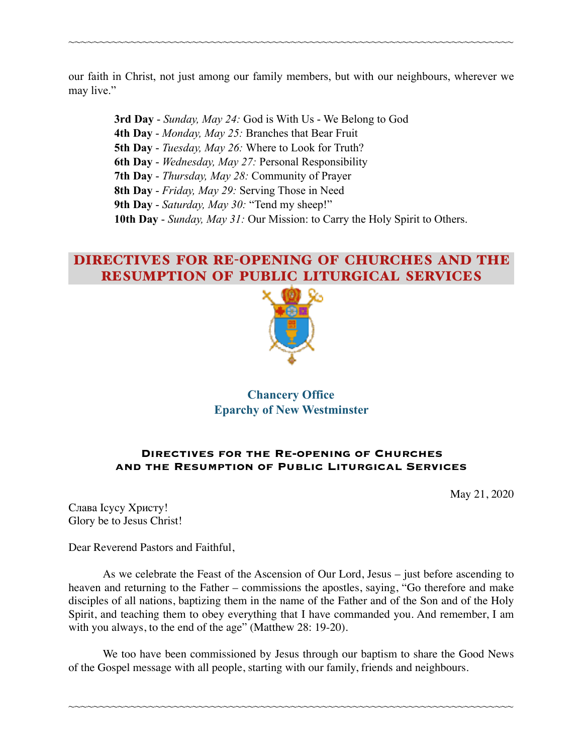our faith in Christ, not just among our family members, but with our neighbours, wherever we may live."

~~~~~~~~~~~~~~~~~~~~~~~~~~~~~~~~~~~~~~~~~~~~~~~~~~~~~~~~~~~~~~~~~~~~~~~~

**3rd Day** - *Sunday, May 24:* God is With Us - We Belong to God **4th Day** - *Monday, May 25:* Branches that Bear Fruit **5th Day** - *Tuesday, May 26:* Where to Look for Truth? **6th Day** - *Wednesday, May 27:* Personal Responsibility **7th Day** - *Thursday, May 28:* Community of Prayer **8th Day** - *Friday, May 29:* Serving Those in Need **9th Day** - *Saturday, May 30:* "Tend my sheep!" **10th Day** - *Sunday, May 31:* Our Mission: to Carry the Holy Spirit to Others.

# DIRECTIVES FOR RE-OPENING OF CHURCHES AND THE RESUMPTION OF PUBLIC LITURGICAL SERVICES



### **Chancery Office Eparchy of New Westminster**

#### **Directives for the Re-opening of Churches and the Resumption of Public Liturgical Services**

May 21, 2020

Слава Ісусу Христу! Glory be to Jesus Christ!

Dear Reverend Pastors and Faithful,

As we celebrate the Feast of the Ascension of Our Lord, Jesus – just before ascending to heaven and returning to the Father – commissions the apostles, saying, "Go therefore and make disciples of all nations, baptizing them in the name of the Father and of the Son and of the Holy Spirit, and teaching them to obey everything that I have commanded you. And remember, I am with you always, to the end of the age" (Matthew 28: 19-20).

We too have been commissioned by Jesus through our baptism to share the Good News of the Gospel message with all people, starting with our family, friends and neighbours.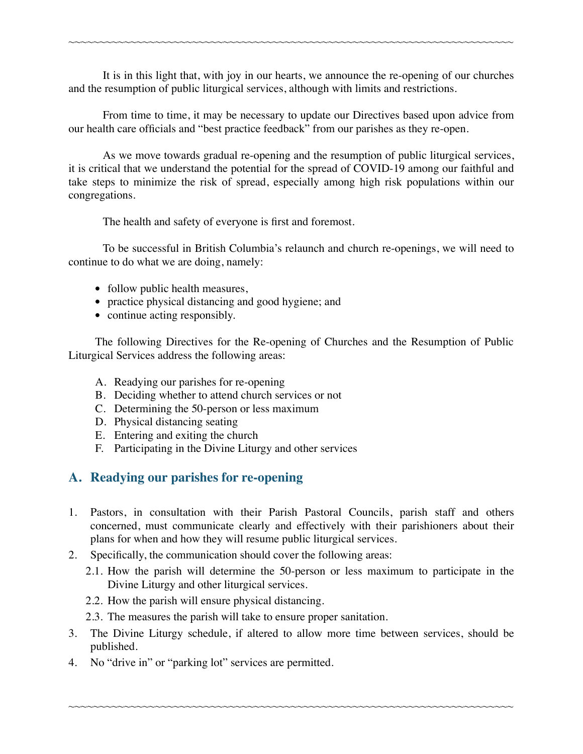It is in this light that, with joy in our hearts, we announce the re-opening of our churches and the resumption of public liturgical services, although with limits and restrictions.

~~~~~~~~~~~~~~~~~~~~~~~~~~~~~~~~~~~~~~~~~~~~~~~~~~~~~~~~~~~~~~~~~~~~~~~~

From time to time, it may be necessary to update our Directives based upon advice from our health care officials and "best practice feedback" from our parishes as they re-open.

As we move towards gradual re-opening and the resumption of public liturgical services, it is critical that we understand the potential for the spread of COVID-19 among our faithful and take steps to minimize the risk of spread, especially among high risk populations within our congregations.

The health and safety of everyone is first and foremost.

To be successful in British Columbia's relaunch and church re-openings, we will need to continue to do what we are doing, namely:

- follow public health measures,
- practice physical distancing and good hygiene; and
- continue acting responsibly.

The following Directives for the Re-opening of Churches and the Resumption of Public Liturgical Services address the following areas:

- A. Readying our parishes for re-opening
- B. Deciding whether to attend church services or not
- C. Determining the 50-person or less maximum
- D. Physical distancing seating
- E. Entering and exiting the church
- F. Participating in the Divine Liturgy and other services

### **A. Readying our parishes for re-opening**

- 1. Pastors, in consultation with their Parish Pastoral Councils, parish staff and others concerned, must communicate clearly and effectively with their parishioners about their plans for when and how they will resume public liturgical services.
- 2. Specifically, the communication should cover the following areas:
	- 2.1. How the parish will determine the 50-person or less maximum to participate in the Divine Liturgy and other liturgical services.
	- 2.2. How the parish will ensure physical distancing.
	- 2.3. The measures the parish will take to ensure proper sanitation.
- 3. The Divine Liturgy schedule, if altered to allow more time between services, should be published.

~~~~~~~~~~~~~~~~~~~~~~~~~~~~~~~~~~~~~~~~~~~~~~~~~~~~~~~~~~~~~~~~~~~~~~~~

4. No "drive in" or "parking lot" services are permitted.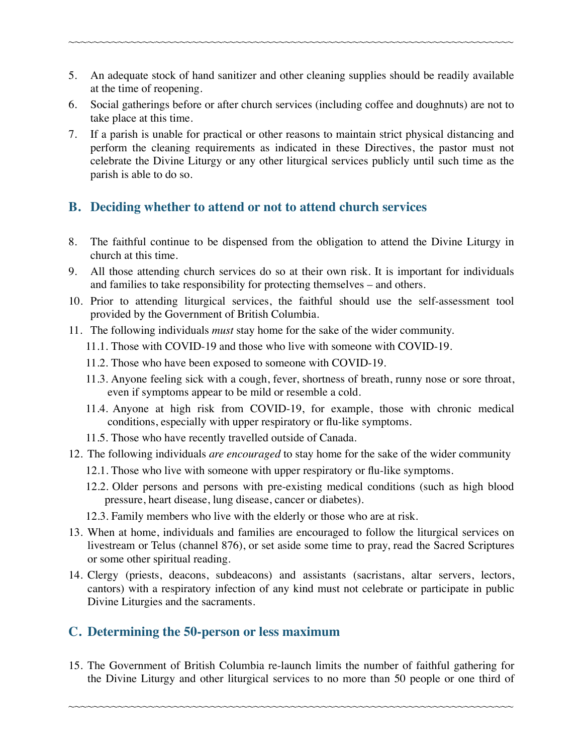5. An adequate stock of hand sanitizer and other cleaning supplies should be readily available at the time of reopening.

~~~~~~~~~~~~~~~~~~~~~~~~~~~~~~~~~~~~~~~~~~~~~~~~~~~~~~~~~~~~~~~~~~~~~~~~

- 6. Social gatherings before or after church services (including coffee and doughnuts) are not to take place at this time.
- 7. If a parish is unable for practical or other reasons to maintain strict physical distancing and perform the cleaning requirements as indicated in these Directives, the pastor must not celebrate the Divine Liturgy or any other liturgical services publicly until such time as the parish is able to do so.

## **B. Deciding whether to attend or not to attend church services**

- 8. The faithful continue to be dispensed from the obligation to attend the Divine Liturgy in church at this time.
- 9. All those attending church services do so at their own risk. It is important for individuals and families to take responsibility for protecting themselves – and others.
- 10. Prior to attending liturgical services, the faithful should use the self-assessment tool provided by the Government of British Columbia.
- 11. The following individuals *must* stay home for the sake of the wider community.
	- 11.1. Those with COVID-19 and those who live with someone with COVID-19.
	- 11.2. Those who have been exposed to someone with COVID-19.
	- 11.3. Anyone feeling sick with a cough, fever, shortness of breath, runny nose or sore throat, even if symptoms appear to be mild or resemble a cold.
	- 11.4. Anyone at high risk from COVID-19, for example, those with chronic medical conditions, especially with upper respiratory or flu-like symptoms.
	- 11.5. Those who have recently travelled outside of Canada.
- 12. The following individuals *are encouraged* to stay home for the sake of the wider community
	- 12.1. Those who live with someone with upper respiratory or flu-like symptoms.
	- 12.2. Older persons and persons with pre-existing medical conditions (such as high blood pressure, heart disease, lung disease, cancer or diabetes).
	- 12.3. Family members who live with the elderly or those who are at risk.
- 13. When at home, individuals and families are encouraged to follow the liturgical services on livestream or Telus (channel 876), or set aside some time to pray, read the Sacred Scriptures or some other spiritual reading.
- 14. Clergy (priests, deacons, subdeacons) and assistants (sacristans, altar servers, lectors, cantors) with a respiratory infection of any kind must not celebrate or participate in public Divine Liturgies and the sacraments.

## **C. Determining the 50-person or less maximum**

15. The Government of British Columbia re-launch limits the number of faithful gathering for the Divine Liturgy and other liturgical services to no more than 50 people or one third of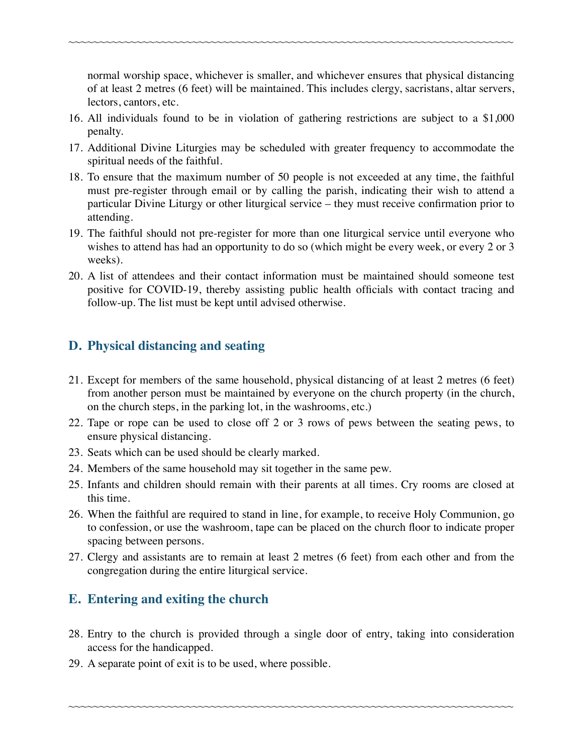normal worship space, whichever is smaller, and whichever ensures that physical distancing of at least 2 metres (6 feet) will be maintained. This includes clergy, sacristans, altar servers, lectors, cantors, etc.

16. All individuals found to be in violation of gathering restrictions are subject to a \$1,000 penalty.

~~~~~~~~~~~~~~~~~~~~~~~~~~~~~~~~~~~~~~~~~~~~~~~~~~~~~~~~~~~~~~~~~~~~~~~~

- 17. Additional Divine Liturgies may be scheduled with greater frequency to accommodate the spiritual needs of the faithful.
- 18. To ensure that the maximum number of 50 people is not exceeded at any time, the faithful must pre-register through email or by calling the parish, indicating their wish to attend a particular Divine Liturgy or other liturgical service – they must receive confirmation prior to attending.
- 19. The faithful should not pre-register for more than one liturgical service until everyone who wishes to attend has had an opportunity to do so (which might be every week, or every 2 or 3 weeks).
- 20. A list of attendees and their contact information must be maintained should someone test positive for COVID-19, thereby assisting public health officials with contact tracing and follow-up. The list must be kept until advised otherwise.

# **D. Physical distancing and seating**

- 21. Except for members of the same household, physical distancing of at least 2 metres (6 feet) from another person must be maintained by everyone on the church property (in the church, on the church steps, in the parking lot, in the washrooms, etc.)
- 22. Tape or rope can be used to close off 2 or 3 rows of pews between the seating pews, to ensure physical distancing.
- 23. Seats which can be used should be clearly marked.
- 24. Members of the same household may sit together in the same pew.
- 25. Infants and children should remain with their parents at all times. Cry rooms are closed at this time.
- 26. When the faithful are required to stand in line, for example, to receive Holy Communion, go to confession, or use the washroom, tape can be placed on the church floor to indicate proper spacing between persons.
- 27. Clergy and assistants are to remain at least 2 metres (6 feet) from each other and from the congregation during the entire liturgical service.

## **E. Entering and exiting the church**

28. Entry to the church is provided through a single door of entry, taking into consideration access for the handicapped.

~~~~~~~~~~~~~~~~~~~~~~~~~~~~~~~~~~~~~~~~~~~~~~~~~~~~~~~~~~~~~~~~~~~~~~~~

29. A separate point of exit is to be used, where possible.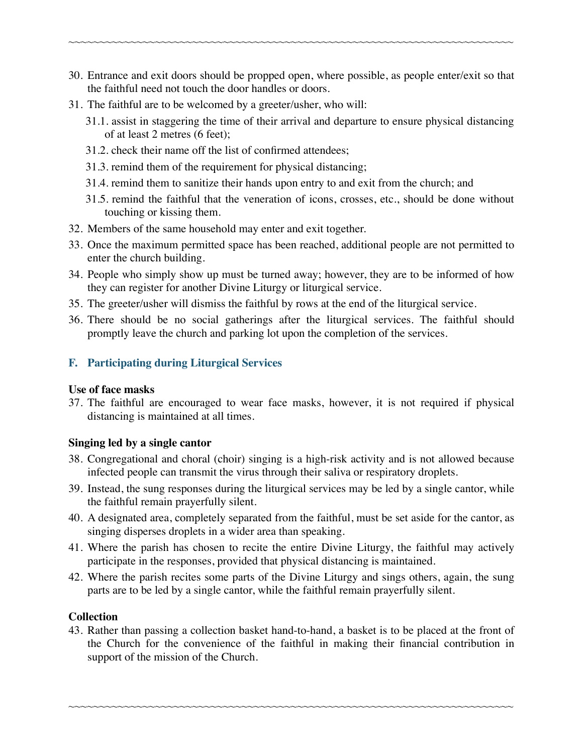30. Entrance and exit doors should be propped open, where possible, as people enter/exit so that the faithful need not touch the door handles or doors.

~~~~~~~~~~~~~~~~~~~~~~~~~~~~~~~~~~~~~~~~~~~~~~~~~~~~~~~~~~~~~~~~~~~~~~~~

- 31. The faithful are to be welcomed by a greeter/usher, who will:
	- 31.1. assist in staggering the time of their arrival and departure to ensure physical distancing of at least 2 metres (6 feet);
	- 31.2. check their name off the list of confirmed attendees;
	- 31.3. remind them of the requirement for physical distancing;
	- 31.4. remind them to sanitize their hands upon entry to and exit from the church; and
	- 31.5. remind the faithful that the veneration of icons, crosses, etc., should be done without touching or kissing them.
- 32. Members of the same household may enter and exit together.
- 33. Once the maximum permitted space has been reached, additional people are not permitted to enter the church building.
- 34. People who simply show up must be turned away; however, they are to be informed of how they can register for another Divine Liturgy or liturgical service.
- 35. The greeter/usher will dismiss the faithful by rows at the end of the liturgical service.
- 36. There should be no social gatherings after the liturgical services. The faithful should promptly leave the church and parking lot upon the completion of the services.

### **F. Participating during Liturgical Services**

#### **Use of face masks**

37. The faithful are encouraged to wear face masks, however, it is not required if physical distancing is maintained at all times.

### **Singing led by a single cantor**

- 38. Congregational and choral (choir) singing is a high-risk activity and is not allowed because infected people can transmit the virus through their saliva or respiratory droplets.
- 39. Instead, the sung responses during the liturgical services may be led by a single cantor, while the faithful remain prayerfully silent.
- 40. A designated area, completely separated from the faithful, must be set aside for the cantor, as singing disperses droplets in a wider area than speaking.
- 41. Where the parish has chosen to recite the entire Divine Liturgy, the faithful may actively participate in the responses, provided that physical distancing is maintained.
- 42. Where the parish recites some parts of the Divine Liturgy and sings others, again, the sung parts are to be led by a single cantor, while the faithful remain prayerfully silent.

#### **Collection**

43. Rather than passing a collection basket hand-to-hand, a basket is to be placed at the front of the Church for the convenience of the faithful in making their financial contribution in support of the mission of the Church.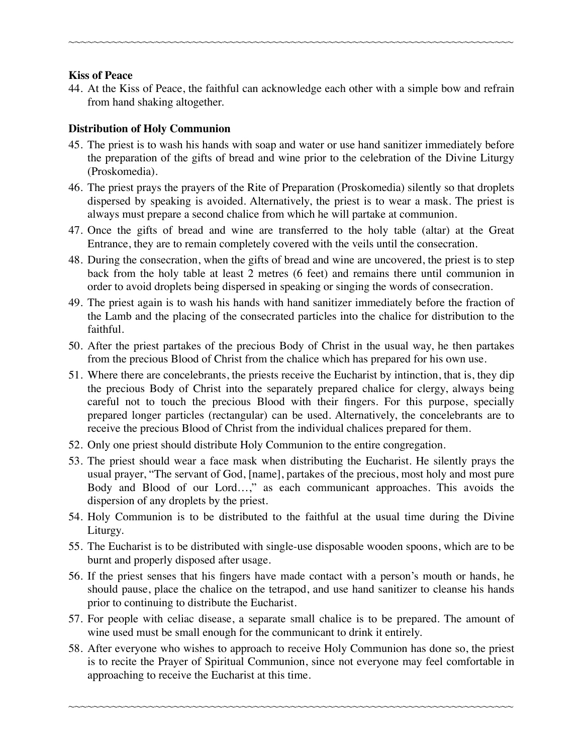#### **Kiss of Peace**

44. At the Kiss of Peace, the faithful can acknowledge each other with a simple bow and refrain from hand shaking altogether.

~~~~~~~~~~~~~~~~~~~~~~~~~~~~~~~~~~~~~~~~~~~~~~~~~~~~~~~~~~~~~~~~~~~~~~~~

### **Distribution of Holy Communion**

- 45. The priest is to wash his hands with soap and water or use hand sanitizer immediately before the preparation of the gifts of bread and wine prior to the celebration of the Divine Liturgy (Proskomedia).
- 46. The priest prays the prayers of the Rite of Preparation (Proskomedia) silently so that droplets dispersed by speaking is avoided. Alternatively, the priest is to wear a mask. The priest is always must prepare a second chalice from which he will partake at communion.
- 47. Once the gifts of bread and wine are transferred to the holy table (altar) at the Great Entrance, they are to remain completely covered with the veils until the consecration.
- 48. During the consecration, when the gifts of bread and wine are uncovered, the priest is to step back from the holy table at least 2 metres (6 feet) and remains there until communion in order to avoid droplets being dispersed in speaking or singing the words of consecration.
- 49. The priest again is to wash his hands with hand sanitizer immediately before the fraction of the Lamb and the placing of the consecrated particles into the chalice for distribution to the faithful.
- 50. After the priest partakes of the precious Body of Christ in the usual way, he then partakes from the precious Blood of Christ from the chalice which has prepared for his own use.
- 51. Where there are concelebrants, the priests receive the Eucharist by intinction, that is, they dip the precious Body of Christ into the separately prepared chalice for clergy, always being careful not to touch the precious Blood with their fingers. For this purpose, specially prepared longer particles (rectangular) can be used. Alternatively, the concelebrants are to receive the precious Blood of Christ from the individual chalices prepared for them.
- 52. Only one priest should distribute Holy Communion to the entire congregation.
- 53. The priest should wear a face mask when distributing the Eucharist. He silently prays the usual prayer, "The servant of God, [name], partakes of the precious, most holy and most pure Body and Blood of our Lord…," as each communicant approaches. This avoids the dispersion of any droplets by the priest.
- 54. Holy Communion is to be distributed to the faithful at the usual time during the Divine Liturgy.
- 55. The Eucharist is to be distributed with single-use disposable wooden spoons, which are to be burnt and properly disposed after usage.
- 56. If the priest senses that his fingers have made contact with a person's mouth or hands, he should pause, place the chalice on the tetrapod, and use hand sanitizer to cleanse his hands prior to continuing to distribute the Eucharist.
- 57. For people with celiac disease, a separate small chalice is to be prepared. The amount of wine used must be small enough for the communicant to drink it entirely.
- 58. After everyone who wishes to approach to receive Holy Communion has done so, the priest is to recite the Prayer of Spiritual Communion, since not everyone may feel comfortable in approaching to receive the Eucharist at this time.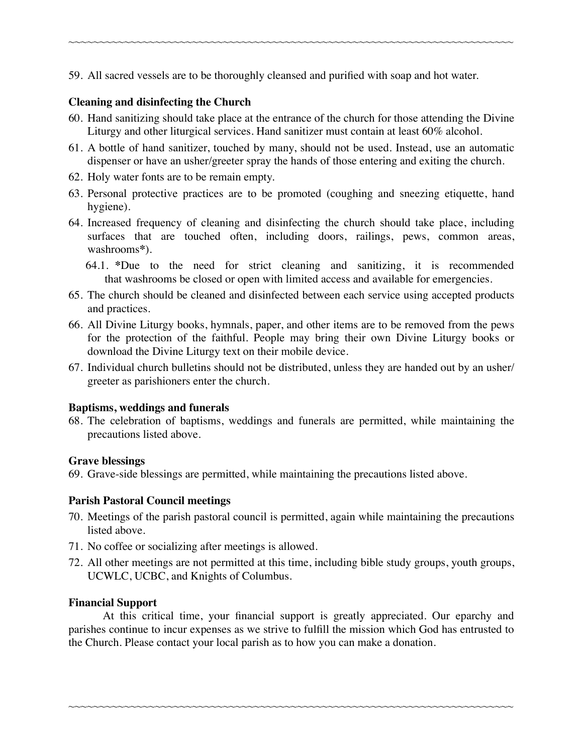59. All sacred vessels are to be thoroughly cleansed and purified with soap and hot water.

### **Cleaning and disinfecting the Church**

60. Hand sanitizing should take place at the entrance of the church for those attending the Divine Liturgy and other liturgical services. Hand sanitizer must contain at least 60% alcohol.

~~~~~~~~~~~~~~~~~~~~~~~~~~~~~~~~~~~~~~~~~~~~~~~~~~~~~~~~~~~~~~~~~~~~~~~~

- 61. A bottle of hand sanitizer, touched by many, should not be used. Instead, use an automatic dispenser or have an usher/greeter spray the hands of those entering and exiting the church.
- 62. Holy water fonts are to be remain empty.
- 63. Personal protective practices are to be promoted (coughing and sneezing etiquette, hand hygiene).
- 64. Increased frequency of cleaning and disinfecting the church should take place, including surfaces that are touched often, including doors, railings, pews, common areas, washrooms**\***).
	- 64.1. **\***Due to the need for strict cleaning and sanitizing, it is recommended that washrooms be closed or open with limited access and available for emergencies.
- 65. The church should be cleaned and disinfected between each service using accepted products and practices.
- 66. All Divine Liturgy books, hymnals, paper, and other items are to be removed from the pews for the protection of the faithful. People may bring their own Divine Liturgy books or download the Divine Liturgy text on their mobile device.
- 67. Individual church bulletins should not be distributed, unless they are handed out by an usher/ greeter as parishioners enter the church.

### **Baptisms, weddings and funerals**

68. The celebration of baptisms, weddings and funerals are permitted, while maintaining the precautions listed above.

### **Grave blessings**

69. Grave-side blessings are permitted, while maintaining the precautions listed above.

### **Parish Pastoral Council meetings**

- 70. Meetings of the parish pastoral council is permitted, again while maintaining the precautions listed above.
- 71. No coffee or socializing after meetings is allowed.
- 72. All other meetings are not permitted at this time, including bible study groups, youth groups, UCWLC, UCBC, and Knights of Columbus.

### **Financial Support**

At this critical time, your financial support is greatly appreciated. Our eparchy and parishes continue to incur expenses as we strive to fulfill the mission which God has entrusted to the Church. Please contact your local parish as to how you can make a donation.